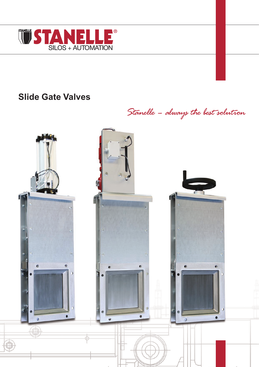

# **Slide Gate Valves**

Stanelle - always the best solution

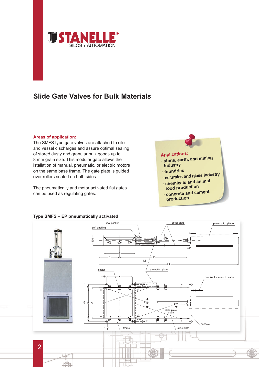

# **Slide Gate Valves for Bulk Materials**

### **Areas of application:**

The SMFS type gate valves are attached to silo and vessel discharges and assure optimal sealing of stored dusty and granular bulk goods up to 8 mm grain size. This modular gate allows the istallation of manual, pneumatic, or electric motors on the same base frame. The gate plate is guided over rollers sealed on both sides.

The pneumatically and motor activated flat gates can be used as regulating gates.

# **Applications:**

- **· stone, earth, and mining industry**
- **· foundries**
- **· ceramics and glass industry · chemicals and animal**
- **food production**
- **· concrete and cemen<sup>t</sup> production**



### **Type SMFS – EP pneumatically activated**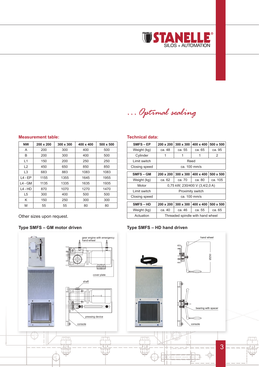

*…Optimal sealing*

#### **Measurement table:**

| <b>NW</b>      | $200 \times 200$ | $300 \times 300$ | 400 x 400 | $500 \times 500$ |
|----------------|------------------|------------------|-----------|------------------|
| A              | 200              | 300              | 400       | 500              |
| B              | 200              | 300              | 400       | 500              |
| L1             | 150              | 200              | 250       | 250              |
| L2             | 450              | 650              | 850       | 850              |
| L <sub>3</sub> | 683              | 883              | 1083      | 1083             |
| $L4$ - EP      | 1155             | 1355             | 1645      | 1955             |
| L4 - GM        | 1135             | 1335             | 1635      | 1935             |
| $L4 - HD$      | 870              | 1070             | 1270      | 1470             |
| L5             | 300              | 400              | 500       | 500              |
| Κ              | 150              | 250              | 300       | 300              |
| M              | 55               | 55               | 80        | 80               |

Other sizes upon request.

## **Type SMFS – GM motor driven**

# gear engine with emergency hand-wheel <del>m∏n</del> cover plate shaft pressing device console 프린 1 L L L m

### **Technical data:**

| SMFS-EP       | 200 x 200                        | 300 x 300 | 400 x 400 | 500 x 500 |  |  |
|---------------|----------------------------------|-----------|-----------|-----------|--|--|
| Weight (kg)   | ca. 48                           | ca. 55    | ca. 65    | ca. 95    |  |  |
| Cylinder      |                                  | 1         |           | 2         |  |  |
| Limit switch  | Reed                             |           |           |           |  |  |
| Closing speed | ca. 100 mm/s                     |           |           |           |  |  |
|               |                                  |           |           |           |  |  |
| SMFS-GM       | 200 x 200                        | 300 x 300 | 400 x 400 | 500 x 500 |  |  |
| Weight (kg)   | ca. 62                           | ca. 70    | ca. 80    | ca. 105   |  |  |
| Motor         | 0.75 kW; 230/400 V (3.4/2.0 A)   |           |           |           |  |  |
| Limit switch  | Proximity switch                 |           |           |           |  |  |
| Closing speed | ca. 100 mm/s                     |           |           |           |  |  |
|               |                                  |           |           |           |  |  |
| SMFS-HD       | 200 x 200                        | 300 x 300 | 400 x 400 | 500 x 500 |  |  |
| Weight (kg)   | ca. 40                           | ca. 46    | ca. 55    | ca. 65    |  |  |
| Actuation     | Threaded spindle with hand wheel |           |           |           |  |  |

### **Type SMFS – HD hand driven**